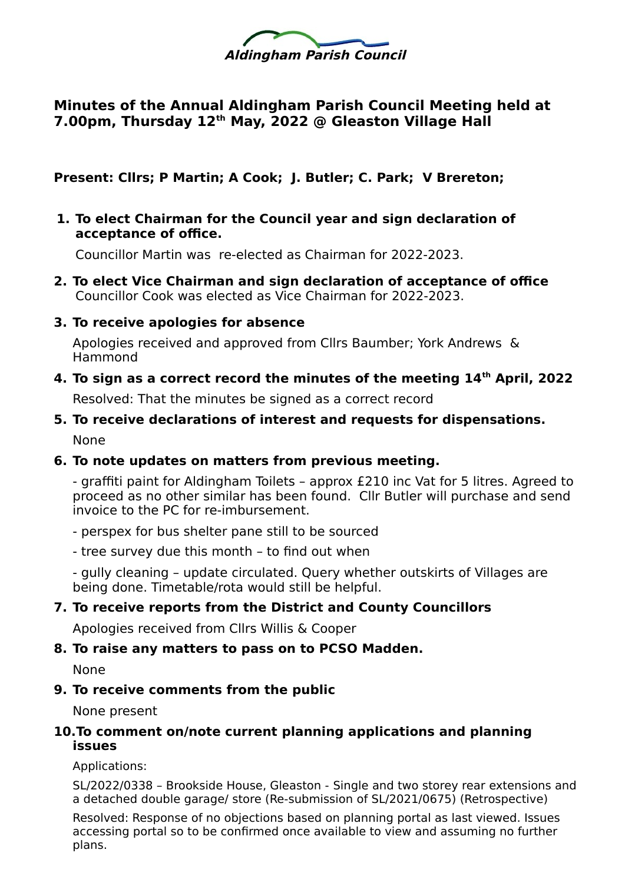

# **Minutes of the Annual Aldingham Parish Council Meeting held at 7.00pm, Thursday 12th May, 2022 @ Gleaston Village Hall**

**Present: Cllrs; P Martin; A Cook; J. Butler; C. Park; V Brereton;** 

**1. To elect Chairman for the Council year and sign declaration of acceptance of office.**

Councillor Martin was re-elected as Chairman for 2022-2023.

- **2. To elect Vice Chairman and sign declaration of acceptance of office** Councillor Cook was elected as Vice Chairman for 2022-2023.
- **3. To receive apologies for absence**

Apologies received and approved from Cllrs Baumber; York Andrews & Hammond

**4. To sign as a correct record the minutes of the meeting 14th April, 2022**

Resolved: That the minutes be signed as a correct record

**5. To receive declarations of interest and requests for dispensations.**  None

### **6. To note updates on matters from previous meeting.**

- graffiti paint for Aldingham Toilets – approx £210 inc Vat for 5 litres. Agreed to proceed as no other similar has been found. Cllr Butler will purchase and send invoice to the PC for re-imbursement.

- perspex for bus shelter pane still to be sourced
- tree survey due this month to find out when

- gully cleaning – update circulated. Query whether outskirts of Villages are being done. Timetable/rota would still be helpful.

### **7. To receive reports from the District and County Councillors**

Apologies received from Cllrs Willis & Cooper

### **8. To raise any matters to pass on to PCSO Madden.**

None

**9. To receive comments from the public**

None present

### **10.To comment on/note current planning applications and planning issues**

Applications:

SL/2022/0338 – Brookside House, Gleaston - Single and two storey rear extensions and a detached double garage/ store (Re-submission of SL/2021/0675) (Retrospective)

Resolved: Response of no objections based on planning portal as last viewed. Issues accessing portal so to be confirmed once available to view and assuming no further plans.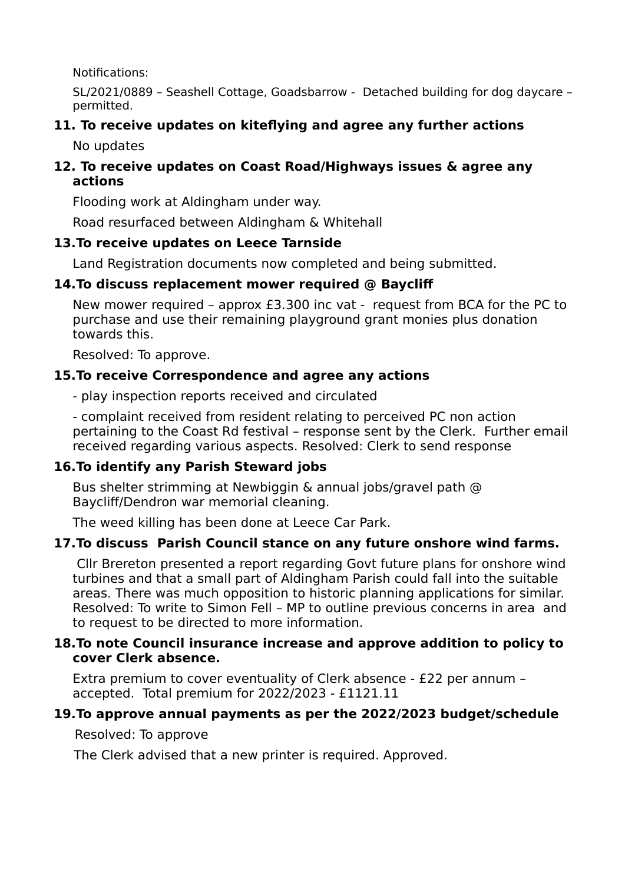Notifications:

SL/2021/0889 – Seashell Cottage, Goadsbarrow - Detached building for dog daycare – permitted.

# **11. To receive updates on kiteflying and agree any further actions**

No updates

### **12. To receive updates on Coast Road/Highways issues & agree any actions**

Flooding work at Aldingham under way.

Road resurfaced between Aldingham & Whitehall

## **13.To receive updates on Leece Tarnside**

Land Registration documents now completed and being submitted.

# **14.To discuss replacement mower required @ Baycliff**

New mower required – approx £3.300 inc vat - request from BCA for the PC to purchase and use their remaining playground grant monies plus donation towards this.

Resolved: To approve.

# **15.To receive Correspondence and agree any actions**

- play inspection reports received and circulated

- complaint received from resident relating to perceived PC non action pertaining to the Coast Rd festival – response sent by the Clerk. Further email received regarding various aspects. Resolved: Clerk to send response

# **16.To identify any Parish Steward jobs**

Bus shelter strimming at Newbiggin & annual jobs/gravel path @ Baycliff/Dendron war memorial cleaning.

The weed killing has been done at Leece Car Park.

# **17.To discuss Parish Council stance on any future onshore wind farms.**

 Cllr Brereton presented a report regarding Govt future plans for onshore wind turbines and that a small part of Aldingham Parish could fall into the suitable areas. There was much opposition to historic planning applications for similar. Resolved: To write to Simon Fell – MP to outline previous concerns in area and to request to be directed to more information.

### **18.To note Council insurance increase and approve addition to policy to cover Clerk absence.**

Extra premium to cover eventuality of Clerk absence - £22 per annum – accepted. Total premium for 2022/2023 - £1121.11

## **19.To approve annual payments as per the 2022/2023 budget/schedule**

Resolved: To approve

The Clerk advised that a new printer is required. Approved.